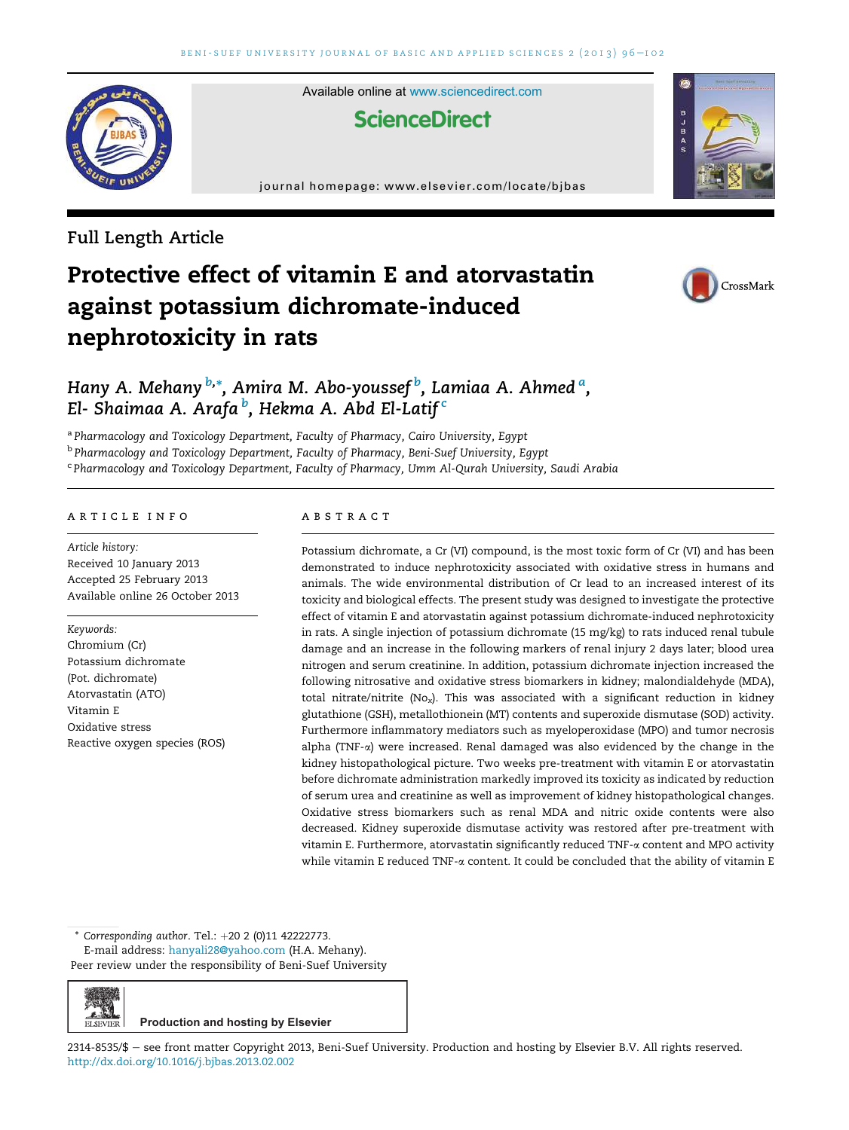

Available online at www.sciencedirect.com

# **ScienceDirect**

journal homepage: www.elsevier.com/locate/bjbas

# Full Length Article

# Protective effect of vitamin E and atorvastatin against potassium dichromate-induced nephrotoxicity in rats



**B** P B C

# Hany A. Mehany <sup>b,</sup>\*, Amira M. Abo-youssef <sup>b</sup>, Lamiaa A. Ahmed <sup>a</sup>, El- Shaimaa A. Arafa <sup>b</sup>, Hekma A. Abd El-Latif <sup>c</sup>

<sup>a</sup> Pharmacology and Toxicology Department, Faculty of Pharmacy, Cairo University, Egypt <sup>b</sup> Pharmacology and Toxicology Department, Faculty of Pharmacy, Beni-Suef University, Egypt <sup>c</sup> Pharmacology and Toxicology Department, Faculty of Pharmacy, Umm Al-Qurah University, Saudi Arabia

#### article info

Article history: Received 10 January 2013 Accepted 25 February 2013 Available online 26 October 2013

#### Keywords:

أعارج **ELSEVIER** 

Chromium (Cr) Potassium dichromate (Pot. dichromate) Atorvastatin (ATO) Vitamin E Oxidative stress Reactive oxygen species (ROS)

#### **ABSTRACT**

Potassium dichromate, a Cr (VI) compound, is the most toxic form of Cr (VI) and has been demonstrated to induce nephrotoxicity associated with oxidative stress in humans and animals. The wide environmental distribution of Cr lead to an increased interest of its toxicity and biological effects. The present study was designed to investigate the protective effect of vitamin E and atorvastatin against potassium dichromate-induced nephrotoxicity in rats. A single injection of potassium dichromate (15 mg/kg) to rats induced renal tubule damage and an increase in the following markers of renal injury 2 days later; blood urea nitrogen and serum creatinine. In addition, potassium dichromate injection increased the following nitrosative and oxidative stress biomarkers in kidney; malondialdehyde (MDA), total nitrate/nitrite (No<sub>x</sub>). This was associated with a significant reduction in kidney glutathione (GSH), metallothionein (MT) contents and superoxide dismutase (SOD) activity. Furthermore inflammatory mediators such as myeloperoxidase (MPO) and tumor necrosis alpha (TNF-a) were increased. Renal damaged was also evidenced by the change in the kidney histopathological picture. Two weeks pre-treatment with vitamin E or atorvastatin before dichromate administration markedly improved its toxicity as indicated by reduction of serum urea and creatinine as well as improvement of kidney histopathological changes. Oxidative stress biomarkers such as renal MDA and nitric oxide contents were also decreased. Kidney superoxide dismutase activity was restored after pre-treatment with vitamin E. Furthermore, atorvastatin significantly reduced TNF- $\alpha$  content and MPO activity while vitamin E reduced TNF- $\alpha$  content. It could be concluded that the ability of vitamin E

Corresponding author. Tel.:  $+20$  2 (0)11 42222773.

E-mail address: hanyali28@yahoo.com (H.A. Mehany). Peer review under the responsibility of Beni-Suef University

**Production and hosting by Elsevier**

2314-8535/\$ - see front matter Copyright 2013, Beni-Suef University. Production and hosting by Elsevier B.V. All rights reserved. http://dx.doi.org/10.1016/j.bjbas.2013.02.002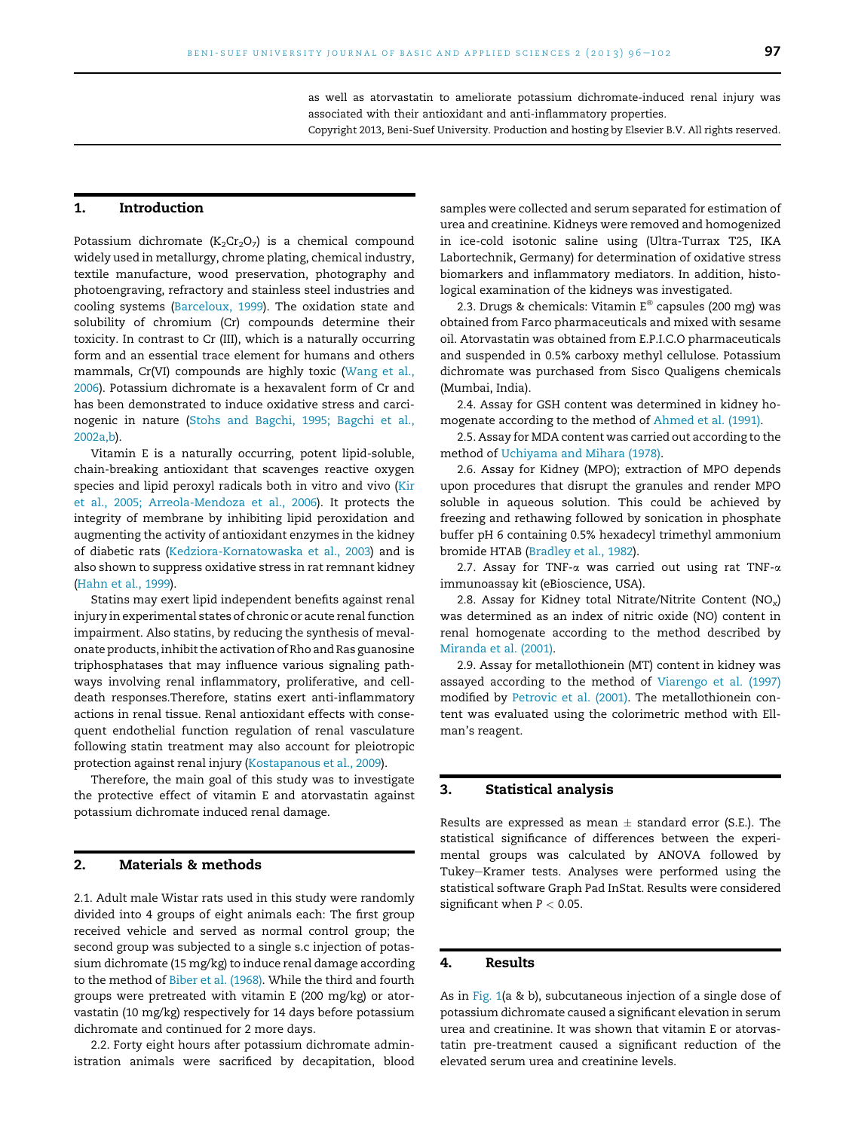as well as atorvastatin to ameliorate potassium dichromate-induced renal injury was associated with their antioxidant and anti-inflammatory properties. Copyright 2013, Beni-Suef University. Production and hosting by Elsevier B.V. All rights reserved.

#### 1. Introduction

Potassium dichromate  $(K_2Cr_2O_7)$  is a chemical compound widely used in metallurgy, chrome plating, chemical industry, textile manufacture, wood preservation, photography and photoengraving, refractory and stainless steel industries and cooling systems (Barceloux, 1999). The oxidation state and solubility of chromium (Cr) compounds determine their toxicity. In contrast to Cr (III), which is a naturally occurring form and an essential trace element for humans and others mammals, Cr(VI) compounds are highly toxic (Wang et al., 2006). Potassium dichromate is a hexavalent form of Cr and has been demonstrated to induce oxidative stress and carcinogenic in nature (Stohs and Bagchi, 1995; Bagchi et al., 2002a,b).

Vitamin E is a naturally occurring, potent lipid-soluble, chain-breaking antioxidant that scavenges reactive oxygen species and lipid peroxyl radicals both in vitro and vivo (Kir et al., 2005; Arreola-Mendoza et al., 2006). It protects the integrity of membrane by inhibiting lipid peroxidation and augmenting the activity of antioxidant enzymes in the kidney of diabetic rats (Kedziora-Kornatowaska et al., 2003) and is also shown to suppress oxidative stress in rat remnant kidney (Hahn et al., 1999).

Statins may exert lipid independent benefits against renal injury in experimental states of chronic or acute renal function impairment. Also statins, by reducing the synthesis of mevalonate products, inhibit the activation of Rho and Ras guanosine triphosphatases that may influence various signaling pathways involving renal inflammatory, proliferative, and celldeath responses.Therefore, statins exert anti-inflammatory actions in renal tissue. Renal antioxidant effects with consequent endothelial function regulation of renal vasculature following statin treatment may also account for pleiotropic protection against renal injury (Kostapanous et al., 2009).

Therefore, the main goal of this study was to investigate the protective effect of vitamin E and atorvastatin against potassium dichromate induced renal damage.

#### 2. Materials & methods

2.1. Adult male Wistar rats used in this study were randomly divided into 4 groups of eight animals each: The first group received vehicle and served as normal control group; the second group was subjected to a single s.c injection of potassium dichromate (15 mg/kg) to induce renal damage according to the method of Biber et al. (1968). While the third and fourth groups were pretreated with vitamin E (200 mg/kg) or atorvastatin (10 mg/kg) respectively for 14 days before potassium dichromate and continued for 2 more days.

2.2. Forty eight hours after potassium dichromate administration animals were sacrificed by decapitation, blood

samples were collected and serum separated for estimation of urea and creatinine. Kidneys were removed and homogenized in ice-cold isotonic saline using (Ultra-Turrax T25, IKA Labortechnik, Germany) for determination of oxidative stress biomarkers and inflammatory mediators. In addition, histological examination of the kidneys was investigated.

2.3. Drugs & chemicals: Vitamin E® capsules (200 mg) was obtained from Farco pharmaceuticals and mixed with sesame oil. Atorvastatin was obtained from E.P.I.C.O pharmaceuticals and suspended in 0.5% carboxy methyl cellulose. Potassium dichromate was purchased from Sisco Qualigens chemicals (Mumbai, India).

2.4. Assay for GSH content was determined in kidney homogenate according to the method of Ahmed et al. (1991).

2.5. Assay for MDA content was carried out according to the method of Uchiyama and Mihara (1978).

2.6. Assay for Kidney (MPO); extraction of MPO depends upon procedures that disrupt the granules and render MPO soluble in aqueous solution. This could be achieved by freezing and rethawing followed by sonication in phosphate buffer pH 6 containing 0.5% hexadecyl trimethyl ammonium bromide HTAB (Bradley et al., 1982).

2.7. Assay for TNF- $\alpha$  was carried out using rat TNF- $\alpha$ immunoassay kit (eBioscience, USA).

2.8. Assay for Kidney total Nitrate/Nitrite Content  $(NO<sub>x</sub>)$ was determined as an index of nitric oxide (NO) content in renal homogenate according to the method described by Miranda et al. (2001).

2.9. Assay for metallothionein (MT) content in kidney was assayed according to the method of Viarengo et al. (1997) modified by Petrovic et al. (2001). The metallothionein content was evaluated using the colorimetric method with Ellman's reagent.

#### 3. Statistical analysis

Results are expressed as mean  $\pm$  standard error (S.E.). The statistical significance of differences between the experimental groups was calculated by ANOVA followed by Tukey-Kramer tests. Analyses were performed using the statistical software Graph Pad InStat. Results were considered significant when  $P < 0.05$ .

### 4. Results

As in Fig. 1(a & b), subcutaneous injection of a single dose of potassium dichromate caused a significant elevation in serum urea and creatinine. It was shown that vitamin E or atorvastatin pre-treatment caused a significant reduction of the elevated serum urea and creatinine levels.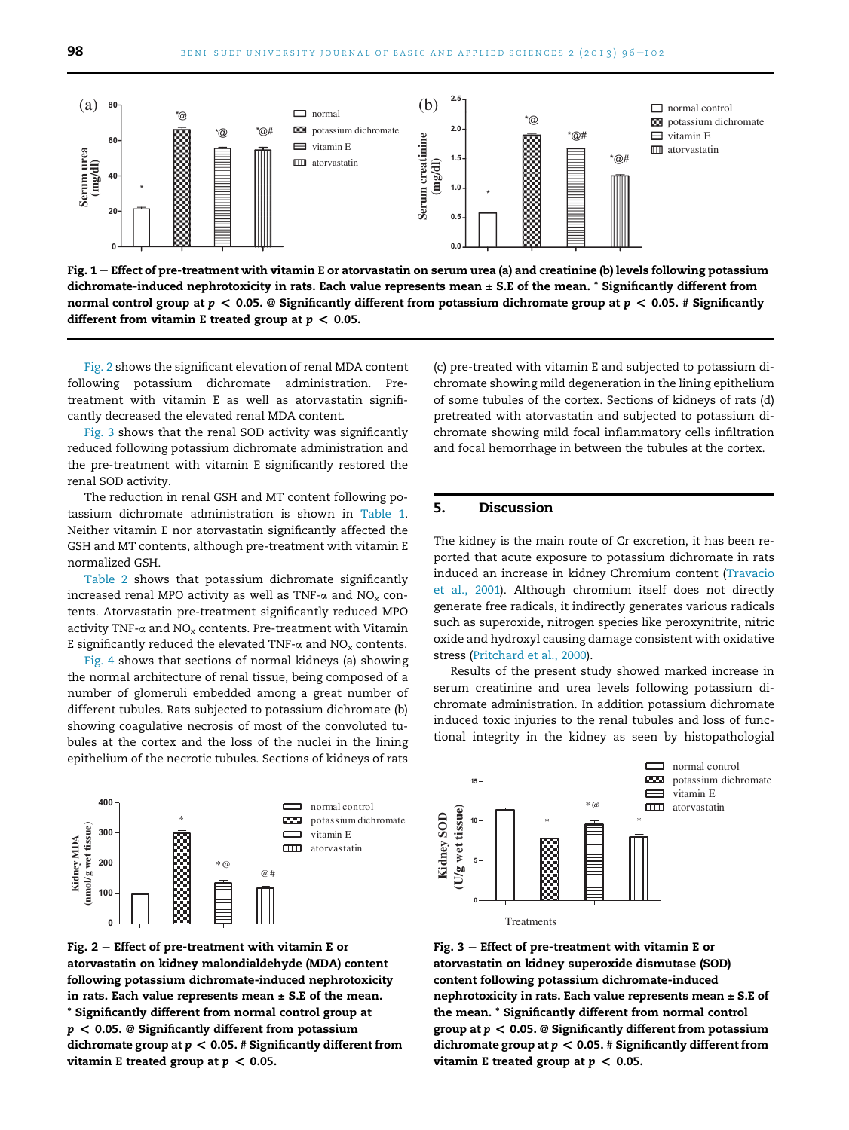

Fig.  $1$  – Effect of pre-treatment with vitamin E or atorvastatin on serum urea (a) and creatinine (b) levels following potassium dichromate-induced nephrotoxicity in rats. Each value represents mean  $\pm$  S.E of the mean.  $*$  Significantly different from normal control group at  $p < 0.05$ . @ Significantly different from potassium dichromate group at  $p < 0.05$ . # Significantly different from vitamin E treated group at  $p < 0.05$ .

Fig. 2 shows the significant elevation of renal MDA content following potassium dichromate administration. Pretreatment with vitamin E as well as atorvastatin significantly decreased the elevated renal MDA content.

Fig. 3 shows that the renal SOD activity was significantly reduced following potassium dichromate administration and the pre-treatment with vitamin E significantly restored the renal SOD activity.

The reduction in renal GSH and MT content following potassium dichromate administration is shown in Table 1. Neither vitamin E nor atorvastatin significantly affected the GSH and MT contents, although pre-treatment with vitamin E normalized GSH.

Table 2 shows that potassium dichromate significantly increased renal MPO activity as well as TNF- $\alpha$  and NO<sub>x</sub> contents. Atorvastatin pre-treatment significantly reduced MPO activity TNF- $\alpha$  and NO<sub>x</sub> contents. Pre-treatment with Vitamin E significantly reduced the elevated TNF- $\alpha$  and NO<sub>x</sub> contents.

Fig. 4 shows that sections of normal kidneys (a) showing the normal architecture of renal tissue, being composed of a number of glomeruli embedded among a great number of different tubules. Rats subjected to potassium dichromate (b) showing coagulative necrosis of most of the convoluted tubules at the cortex and the loss of the nuclei in the lining epithelium of the necrotic tubules. Sections of kidneys of rats



Fig.  $2$  – Effect of pre-treatment with vitamin E or atorvastatin on kidney malondialdehyde (MDA) content following potassium dichromate-induced nephrotoxicity in rats. Each value represents mean  $\pm$  S.E of the mean. \* Significantly different from normal control group at  $p < 0.05$ . @ Significantly different from potassium dichromate group at  $p < 0.05$ . # Significantly different from vitamin E treated group at  $p < 0.05$ .

(c) pre-treated with vitamin E and subjected to potassium dichromate showing mild degeneration in the lining epithelium of some tubules of the cortex. Sections of kidneys of rats (d) pretreated with atorvastatin and subjected to potassium dichromate showing mild focal inflammatory cells infiltration and focal hemorrhage in between the tubules at the cortex.

#### 5. Discussion

The kidney is the main route of Cr excretion, it has been reported that acute exposure to potassium dichromate in rats induced an increase in kidney Chromium content (Travacio et al., 2001). Although chromium itself does not directly generate free radicals, it indirectly generates various radicals such as superoxide, nitrogen species like peroxynitrite, nitric oxide and hydroxyl causing damage consistent with oxidative stress (Pritchard et al., 2000).

Results of the present study showed marked increase in serum creatinine and urea levels following potassium dichromate administration. In addition potassium dichromate induced toxic injuries to the renal tubules and loss of functional integrity in the kidney as seen by histopathologial



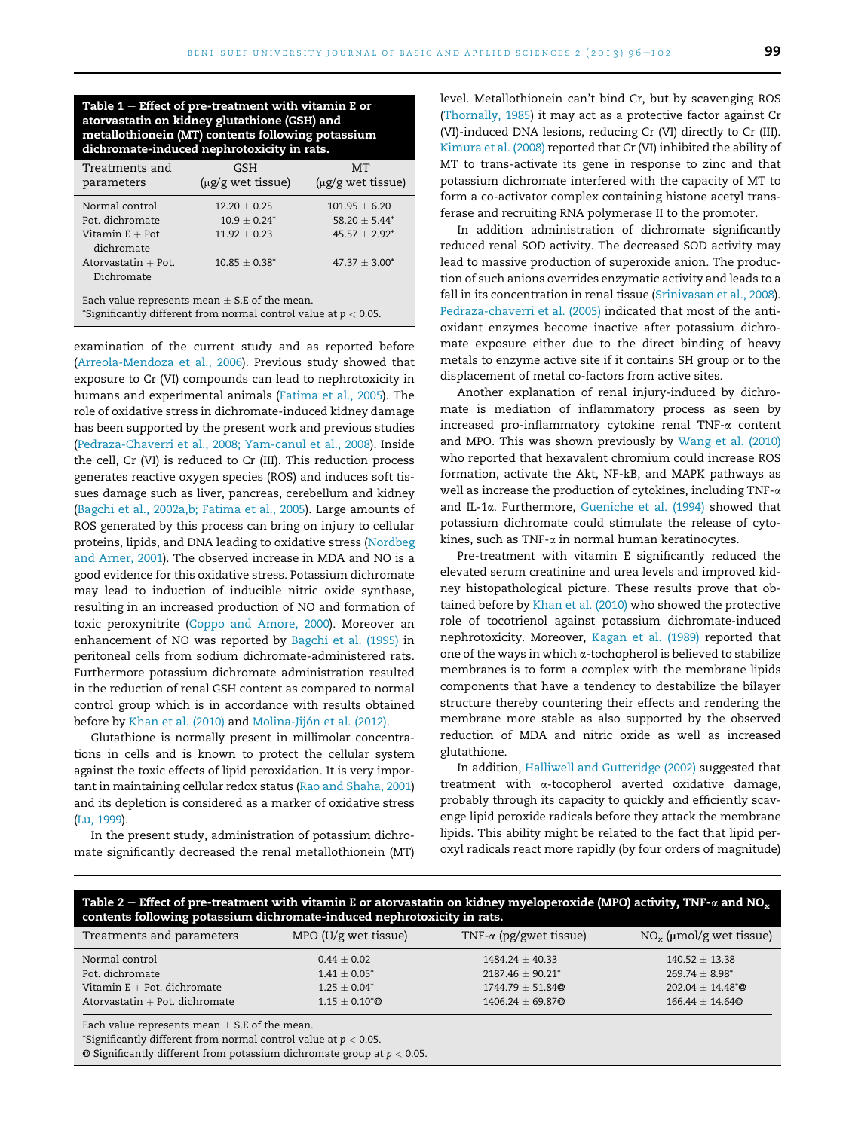Table  $1$  – Effect of pre-treatment with vitamin E or atorvastatin on kidney glutathione (GSH) and metallothionein (MT) contents following potassium dichromate-induced nephrotoxicity in rats.

| Treatments and<br>parameters                                                                   | GSH<br>(µg/g wet tissue)                                                | MТ<br>(µg/g wet tissue)                                                    |
|------------------------------------------------------------------------------------------------|-------------------------------------------------------------------------|----------------------------------------------------------------------------|
| Normal control<br>Pot. dichromate<br>Vitamin $E +$ Pot.<br>dichromate<br>Atorvastatin $+$ Pot. | $12.20 + 0.25$<br>$10.9 + 0.24^*$<br>$11.92 + 0.23$<br>$10.85 + 0.38^*$ | $101.95 + 6.20$<br>$58.20 + 5.44*$<br>$45.57 + 2.92^*$<br>$47.37 + 3.00^*$ |
| Dichromate                                                                                     |                                                                         |                                                                            |

Each value represents mean  $\pm$  S.E of the mean.

\*Significantly different from normal control value at  $p < 0.05$ .

examination of the current study and as reported before (Arreola-Mendoza et al., 2006). Previous study showed that exposure to Cr (VI) compounds can lead to nephrotoxicity in humans and experimental animals (Fatima et al., 2005). The role of oxidative stress in dichromate-induced kidney damage has been supported by the present work and previous studies (Pedraza-Chaverri et al., 2008; Yam-canul et al., 2008). Inside the cell, Cr (VI) is reduced to Cr (III). This reduction process generates reactive oxygen species (ROS) and induces soft tissues damage such as liver, pancreas, cerebellum and kidney (Bagchi et al., 2002a,b; Fatima et al., 2005). Large amounts of ROS generated by this process can bring on injury to cellular proteins, lipids, and DNA leading to oxidative stress (Nordbeg and Arner, 2001). The observed increase in MDA and NO is a good evidence for this oxidative stress. Potassium dichromate may lead to induction of inducible nitric oxide synthase, resulting in an increased production of NO and formation of toxic peroxynitrite (Coppo and Amore, 2000). Moreover an enhancement of NO was reported by Bagchi et al. (1995) in peritoneal cells from sodium dichromate-administered rats. Furthermore potassium dichromate administration resulted in the reduction of renal GSH content as compared to normal control group which is in accordance with results obtained before by Khan et al. (2010) and Molina-Jijón et al. (2012).

Glutathione is normally present in millimolar concentrations in cells and is known to protect the cellular system against the toxic effects of lipid peroxidation. It is very important in maintaining cellular redox status (Rao and Shaha, 2001) and its depletion is considered as a marker of oxidative stress (Lu, 1999).

In the present study, administration of potassium dichromate significantly decreased the renal metallothionein (MT) level. Metallothionein can't bind Cr, but by scavenging ROS (Thornally, 1985) it may act as a protective factor against Cr (VI)-induced DNA lesions, reducing Cr (VI) directly to Cr (III). Kimura et al. (2008) reported that Cr (VI) inhibited the ability of MT to trans-activate its gene in response to zinc and that potassium dichromate interfered with the capacity of MT to form a co-activator complex containing histone acetyl transferase and recruiting RNA polymerase II to the promoter.

In addition administration of dichromate significantly reduced renal SOD activity. The decreased SOD activity may lead to massive production of superoxide anion. The production of such anions overrides enzymatic activity and leads to a fall in its concentration in renal tissue (Srinivasan et al., 2008). Pedraza-chaverri et al. (2005) indicated that most of the antioxidant enzymes become inactive after potassium dichromate exposure either due to the direct binding of heavy metals to enzyme active site if it contains SH group or to the displacement of metal co-factors from active sites.

Another explanation of renal injury-induced by dichromate is mediation of inflammatory process as seen by increased pro-inflammatory cytokine renal TNF-a content and MPO. This was shown previously by Wang et al. (2010) who reported that hexavalent chromium could increase ROS formation, activate the Akt, NF-kB, and MAPK pathways as well as increase the production of cytokines, including TNF-a and IL-1a. Furthermore, Gueniche et al. (1994) showed that potassium dichromate could stimulate the release of cytokines, such as TNF-a in normal human keratinocytes.

Pre-treatment with vitamin E significantly reduced the elevated serum creatinine and urea levels and improved kidney histopathological picture. These results prove that obtained before by Khan et al. (2010) who showed the protective role of tocotrienol against potassium dichromate-induced nephrotoxicity. Moreover, Kagan et al. (1989) reported that one of the ways in which  $\alpha$ -tochopherol is believed to stabilize membranes is to form a complex with the membrane lipids components that have a tendency to destabilize the bilayer structure thereby countering their effects and rendering the membrane more stable as also supported by the observed reduction of MDA and nitric oxide as well as increased glutathione.

In addition, Halliwell and Gutteridge (2002) suggested that treatment with a-tocopherol averted oxidative damage, probably through its capacity to quickly and efficiently scavenge lipid peroxide radicals before they attack the membrane lipids. This ability might be related to the fact that lipid peroxyl radicals react more rapidly (by four orders of magnitude)

| Table 2 – Effect of pre-treatment with vitamin E or atorvastatin on kidney myeloperoxide (MPO) activity, TNF- $\alpha$ and NO <sub>x</sub><br>contents following potassium dichromate-induced nephrotoxicity in rats. |                                                     |                                                                |                                                                 |  |
|-----------------------------------------------------------------------------------------------------------------------------------------------------------------------------------------------------------------------|-----------------------------------------------------|----------------------------------------------------------------|-----------------------------------------------------------------|--|
| Treatments and parameters                                                                                                                                                                                             | $MPO$ (U/g wet tissue)                              | TNF- $\alpha$ (pg/gwet tissue)                                 | $NO_x$ (µmol/g wet tissue)                                      |  |
| Normal control<br>Pot. dichromate<br>Vitamin $E + Pot.$ dichromate                                                                                                                                                    | $0.44 + 0.02$<br>$1.41 + 0.05^*$<br>$1.25 + 0.04^*$ | $1484.24 + 40.33$<br>$2187.46 + 90.21^*$<br>$1744.79 + 51.84@$ | $140.52 + 13.38$<br>$269.74 + 8.98^*$<br>$202.04 + 14.48^{*}$ @ |  |
| Atorvastatin $+$ Pot. dichromate                                                                                                                                                                                      | $1.15 \pm 0.10^{*}$ @                               | $1406.24 + 69.87@$                                             | $166.44 + 14.64@$                                               |  |

Each value represents mean  $\pm$  S.E of the mean.

\*Significantly different from normal control value at  $p < 0.05$ .

 $\Theta$  Significantly different from potassium dichromate group at  $p < 0.05$ .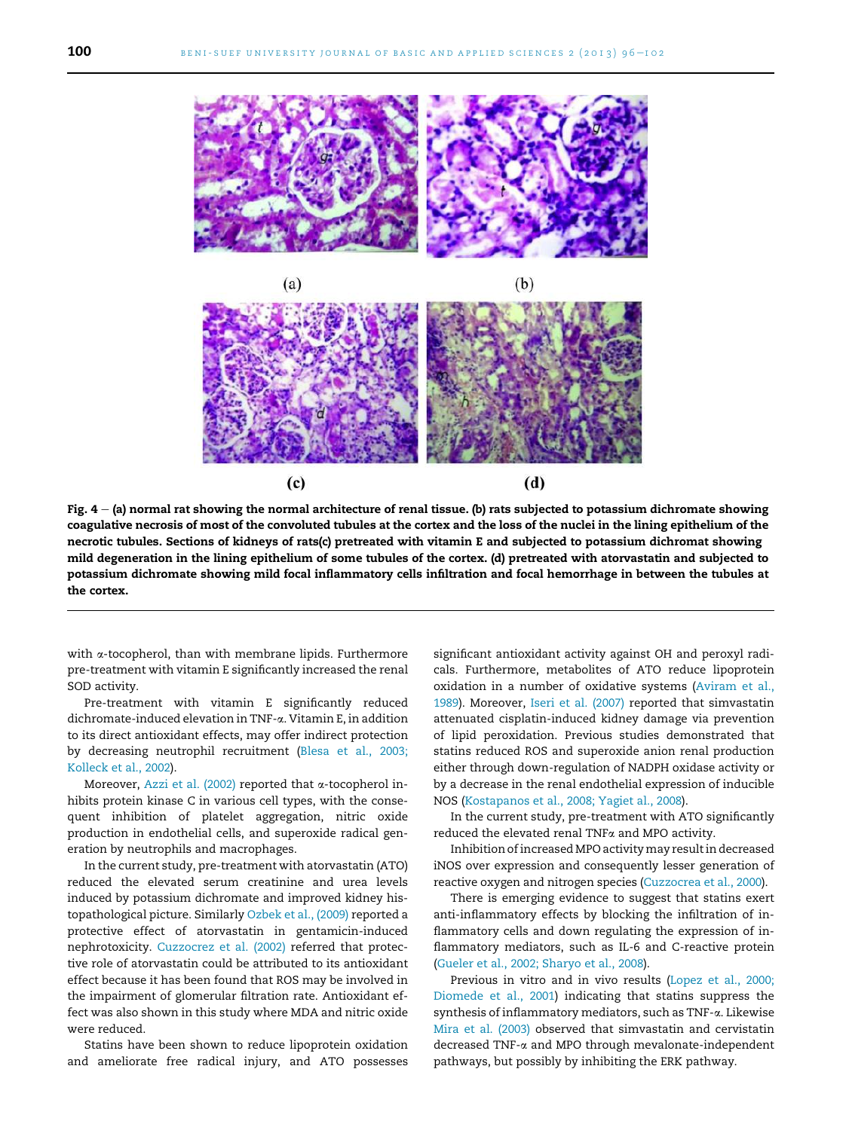



Fig.  $4 - (a)$  normal rat showing the normal architecture of renal tissue. (b) rats subjected to potassium dichromate showing coagulative necrosis of most of the convoluted tubules at the cortex and the loss of the nuclei in the lining epithelium of the necrotic tubules. Sections of kidneys of rats(c) pretreated with vitamin E and subjected to potassium dichromat showing mild degeneration in the lining epithelium of some tubules of the cortex. (d) pretreated with atorvastatin and subjected to potassium dichromate showing mild focal inflammatory cells infiltration and focal hemorrhage in between the tubules at the cortex.

with  $\alpha$ -tocopherol, than with membrane lipids. Furthermore pre-treatment with vitamin E significantly increased the renal SOD activity.

Pre-treatment with vitamin E significantly reduced dichromate-induced elevation in TNF-a. Vitamin E, in addition to its direct antioxidant effects, may offer indirect protection by decreasing neutrophil recruitment (Blesa et al., 2003; Kolleck et al., 2002).

Moreover, Azzi et al. (2002) reported that  $\alpha$ -tocopherol inhibits protein kinase C in various cell types, with the consequent inhibition of platelet aggregation, nitric oxide production in endothelial cells, and superoxide radical generation by neutrophils and macrophages.

In the current study, pre-treatment with atorvastatin (ATO) reduced the elevated serum creatinine and urea levels induced by potassium dichromate and improved kidney histopathological picture. Similarly Ozbek et al., (2009) reported a protective effect of atorvastatin in gentamicin-induced nephrotoxicity. Cuzzocrez et al. (2002) referred that protective role of atorvastatin could be attributed to its antioxidant effect because it has been found that ROS may be involved in the impairment of glomerular filtration rate. Antioxidant effect was also shown in this study where MDA and nitric oxide were reduced.

Statins have been shown to reduce lipoprotein oxidation and ameliorate free radical injury, and ATO possesses

significant antioxidant activity against OH and peroxyl radicals. Furthermore, metabolites of ATO reduce lipoprotein oxidation in a number of oxidative systems (Aviram et al., 1989). Moreover, Iseri et al. (2007) reported that simvastatin attenuated cisplatin-induced kidney damage via prevention of lipid peroxidation. Previous studies demonstrated that statins reduced ROS and superoxide anion renal production either through down-regulation of NADPH oxidase activity or by a decrease in the renal endothelial expression of inducible NOS (Kostapanos et al., 2008; Yagiet al., 2008).

In the current study, pre-treatment with ATO significantly reduced the elevated renal TNFa and MPO activity.

Inhibition of increased MPO activity may result in decreased iNOS over expression and consequently lesser generation of reactive oxygen and nitrogen species (Cuzzocrea et al., 2000).

There is emerging evidence to suggest that statins exert anti-inflammatory effects by blocking the infiltration of inflammatory cells and down regulating the expression of inflammatory mediators, such as IL-6 and C-reactive protein (Gueler et al., 2002; Sharyo et al., 2008).

Previous in vitro and in vivo results (Lopez et al., 2000; Diomede et al., 2001) indicating that statins suppress the synthesis of inflammatory mediators, such as TNF-a. Likewise Mira et al. (2003) observed that simvastatin and cervistatin decreased TNF-a and MPO through mevalonate-independent pathways, but possibly by inhibiting the ERK pathway.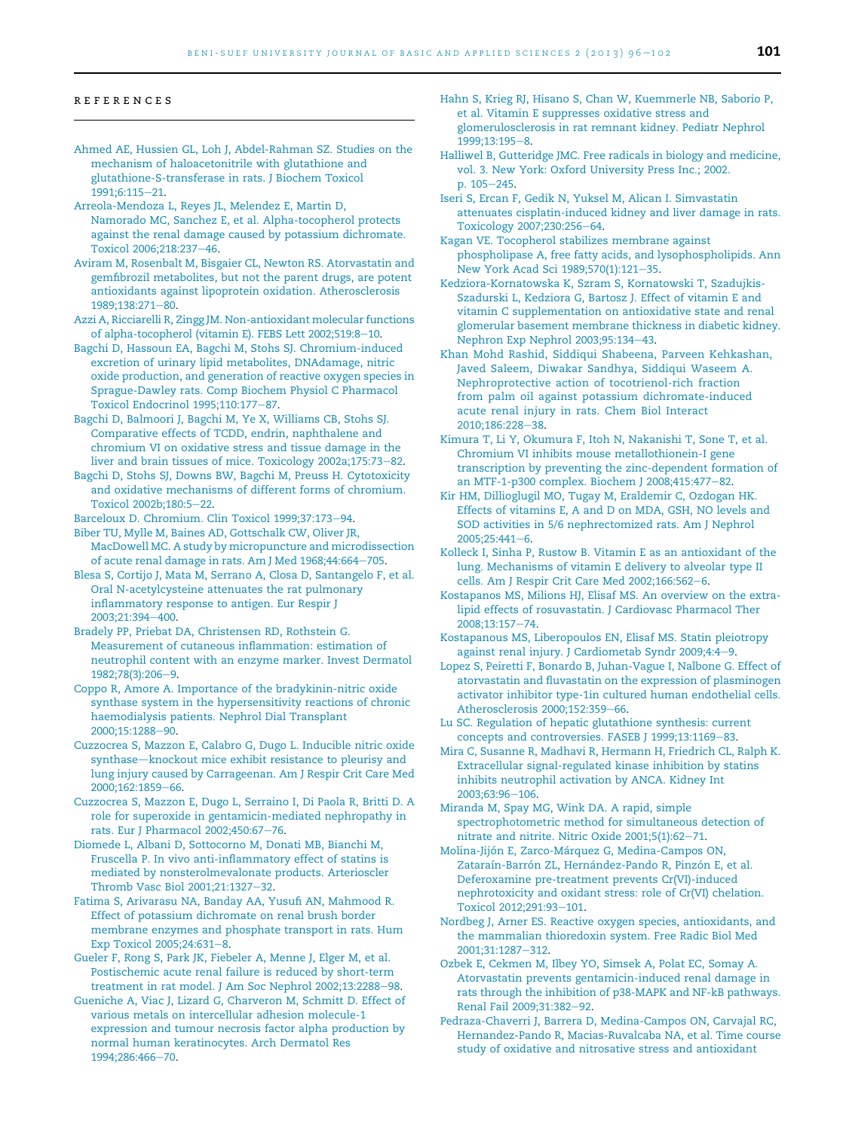#### references

- Ahmed AE, Hussien GL, Loh J, Abdel-Rahman SZ. Studies on the mechanism of haloacetonitrile with glutathione and glutathione-S-transferase in rats. J Biochem Toxicol 1991;6:115-21.
- Arreola-Mendoza L, Reyes JL, Melendez E, Martin D, Namorado MC, Sanchez E, et al. Alpha-tocopherol protects against the renal damage caused by potassium dichromate. Toxicol 2006;218:237-46.
- Aviram M, Rosenbalt M, Bisgaier CL, Newton RS. Atorvastatin and gemfibrozil metabolites, but not the parent drugs, are potent antioxidants against lipoprotein oxidation. Atherosclerosis 1989;138:271-80.
- Azzi A, Ricciarelli R, Zingg JM. Non-antioxidant molecular functions of alpha-tocopherol (vitamin E). FEBS Lett 2002;519:8-10.
- Bagchi D, Hassoun EA, Bagchi M, Stohs SJ. Chromium-induced excretion of urinary lipid metabolites, DNAdamage, nitric oxide production, and generation of reactive oxygen species in Sprague-Dawley rats. Comp Biochem Physiol C Pharmacol Toxicol Endocrinol 1995;110:177-87.
- Bagchi D, Balmoori J, Bagchi M, Ye X, Williams CB, Stohs SJ. Comparative effects of TCDD, endrin, naphthalene and chromium VI on oxidative stress and tissue damage in the liver and brain tissues of mice. Toxicology 2002a;175:73-82.
- Bagchi D, Stohs SJ, Downs BW, Bagchi M, Preuss H. Cytotoxicity and oxidative mechanisms of different forms of chromium. Toxicol 2002b;180:5-22.
- Barceloux D. Chromium. Clin Toxicol 1999;37:173-94.
- Biber TU, Mylle M, Baines AD, Gottschalk CW, Oliver JR, MacDowell MC. A study by micropuncture and microdissection of acute renal damage in rats. Am J Med 1968;44:664-705.
- Blesa S, Cortijo J, Mata M, Serrano A, Closa D, Santangelo F, et al. Oral N-acetylcysteine attenuates the rat pulmonary inflammatory response to antigen. Eur Respir J 2003;21:394-400.
- Bradely PP, Priebat DA, Christensen RD, Rothstein G. Measurement of cutaneous inflammation: estimation of neutrophil content with an enzyme marker. Invest Dermatol 1982;78(3):206-9.
- Coppo R, Amore A. Importance of the bradykinin-nitric oxide synthase system in the hypersensitivity reactions of chronic haemodialysis patients. Nephrol Dial Transplant 2000;15:1288-90.
- Cuzzocrea S, Mazzon E, Calabro G, Dugo L. Inducible nitric oxide synthase-knockout mice exhibit resistance to pleurisy and lung injury caused by Carrageenan. Am J Respir Crit Care Med 2000;162:1859-66.
- Cuzzocrea S, Mazzon E, Dugo L, Serraino I, Di Paola R, Britti D. A role for superoxide in gentamicin-mediated nephropathy in rats. Eur J Pharmacol 2002;450:67-76.
- Diomede L, Albani D, Sottocorno M, Donati MB, Bianchi M, Fruscella P. In vivo anti-inflammatory effect of statins is mediated by nonsterolmevalonate products. Arterioscler Thromb Vasc Biol 2001;21:1327-32.
- Fatima S, Arivarasu NA, Banday AA, Yusufi AN, Mahmood R. Effect of potassium dichromate on renal brush border membrane enzymes and phosphate transport in rats. Hum Exp Toxicol 2005;24:631-8.
- Gueler F, Rong S, Park JK, Fiebeler A, Menne J, Elger M, et al. Postischemic acute renal failure is reduced by short-term treatment in rat model. J Am Soc Nephrol 2002;13:2288-98.
- Gueniche A, Viac J, Lizard G, Charveron M, Schmitt D. Effect of various metals on intercellular adhesion molecule-1 expression and tumour necrosis factor alpha production by normal human keratinocytes. Arch Dermatol Res 1994;286:466-70.
- Hahn S, Krieg RJ, Hisano S, Chan W, Kuemmerle NB, Saborio P, et al. Vitamin E suppresses oxidative stress and glomerulosclerosis in rat remnant kidney. Pediatr Nephrol 1999:13:195-8.
- Halliwel B, Gutteridge JMC. Free radicals in biology and medicine, vol. 3. New York: Oxford University Press Inc.; 2002. p.  $105 - 245$ .
- Iseri S, Ercan F, Gedik N, Yuksel M, Alican I. Simvastatin attenuates cisplatin-induced kidney and liver damage in rats. Toxicology 2007;230:256-64.

Kagan VE. Tocopherol stabilizes membrane against phospholipase A, free fatty acids, and lysophospholipids. Ann New York Acad Sci 1989;570(1):121-35.

- Kedziora-Kornatowska K, Szram S, Kornatowski T, Szadujkis-Szadurski L, Kedziora G, Bartosz J. Effect of vitamin E and vitamin C supplementation on antioxidative state and renal glomerular basement membrane thickness in diabetic kidney. Nephron Exp Nephrol 2003;95:134-43.
- Khan Mohd Rashid, Siddiqui Shabeena, Parveen Kehkashan, Javed Saleem, Diwakar Sandhya, Siddiqui Waseem A. Nephroprotective action of tocotrienol-rich fraction from palm oil against potassium dichromate-induced acute renal injury in rats. Chem Biol Interact 2010;186:228-38.
- Kimura T, Li Y, Okumura F, Itoh N, Nakanishi T, Sone T, et al. Chromium VI inhibits mouse metallothionein-I gene transcription by preventing the zinc-dependent formation of an MTF-1-p300 complex. Biochem J 2008;415:477-82.
- Kir HM, Dillioglugil MO, Tugay M, Eraldemir C, Ozdogan HK. Effects of vitamins E, A and D on MDA, GSH, NO levels and SOD activities in 5/6 nephrectomized rats. Am J Nephrol  $2005:25:441-6.$
- Kolleck I, Sinha P, Rustow B. Vitamin E as an antioxidant of the lung. Mechanisms of vitamin E delivery to alveolar type II cells. Am J Respir Crit Care Med 2002;166:562-6.
- Kostapanos MS, Milions HJ, Elisaf MS. An overview on the extralipid effects of rosuvastatin. J Cardiovasc Pharmacol Ther 2008;13:157-74.
- Kostapanous MS, Liberopoulos EN, Elisaf MS. Statin pleiotropy against renal injury. J Cardiometab Syndr 2009;4:4-9.
- Lopez S, Peiretti F, Bonardo B, Juhan-Vague I, Nalbone G. Effect of atorvastatin and fluvastatin on the expression of plasminogen activator inhibitor type-1in cultured human endothelial cells. Atherosclerosis 2000;152:359-66.
- Lu SC. Regulation of hepatic glutathione synthesis: current concepts and controversies. FASEB J 1999;13:1169-83.
- Mira C, Susanne R, Madhavi R, Hermann H, Friedrich CL, Ralph K. Extracellular signal-regulated kinase inhibition by statins inhibits neutrophil activation by ANCA. Kidney Int 2003;63:96-106.
- Miranda M, Spay MG, Wink DA. A rapid, simple spectrophotometric method for simultaneous detection of nitrate and nitrite. Nitric Oxide  $2001;5(1):62-71$ .
- Molina-Jijón E, Zarco-Márquez G, Medina-Campos ON, Zataraín-Barrón ZL, Hernández-Pando R, Pinzón E, et al. Deferoxamine pre-treatment prevents Cr(VI)-induced nephrotoxicity and oxidant stress: role of Cr(VI) chelation. Toxicol 2012;291:93-101.
- Nordbeg J, Arner ES. Reactive oxygen species, antioxidants, and the mammalian thioredoxin system. Free Radic Biol Med 2001:31:1287-312.
- Ozbek E, Cekmen M, Ilbey YO, Simsek A, Polat EC, Somay A. Atorvastatin prevents gentamicin-induced renal damage in rats through the inhibition of p38-MAPK and NF-kB pathways. Renal Fail 2009;31:382-92.
- Pedraza-Chaverri J, Barrera D, Medina-Campos ON, Carvajal RC, Hernandez-Pando R, Macias-Ruvalcaba NA, et al. Time course study of oxidative and nitrosative stress and antioxidant